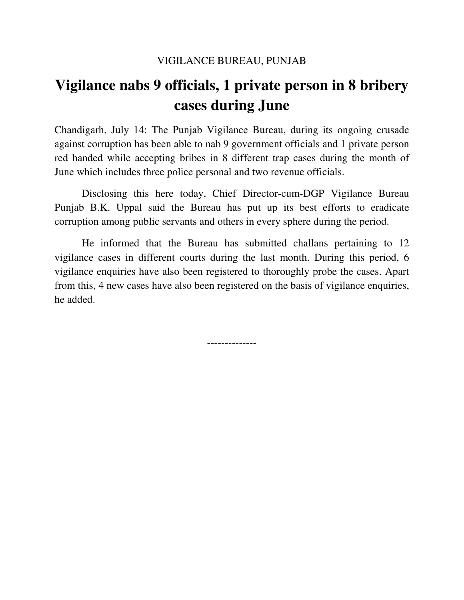## **Vigilance nabs 9 officials, 1 private person in 8 bribery cases during June**

Chandigarh, July 14: The Punjab Vigilance Bureau, during its ongoing crusade against corruption has been able to nab 9 government officials and 1 private person red handed while accepting bribes in 8 different trap cases during the month of June which includes three police personal and two revenue officials.

 Disclosing this here today, Chief Director-cum-DGP Vigilance Bureau Punjab B.K. Uppal said the Bureau has put up its best efforts to eradicate corruption among public servants and others in every sphere during the period.

 He informed that the Bureau has submitted challans pertaining to 12 vigilance cases in different courts during the last month. During this period, 6 vigilance enquiries have also been registered to thoroughly probe the cases. Apart from this, 4 new cases have also been registered on the basis of vigilance enquiries, he added.

--------------